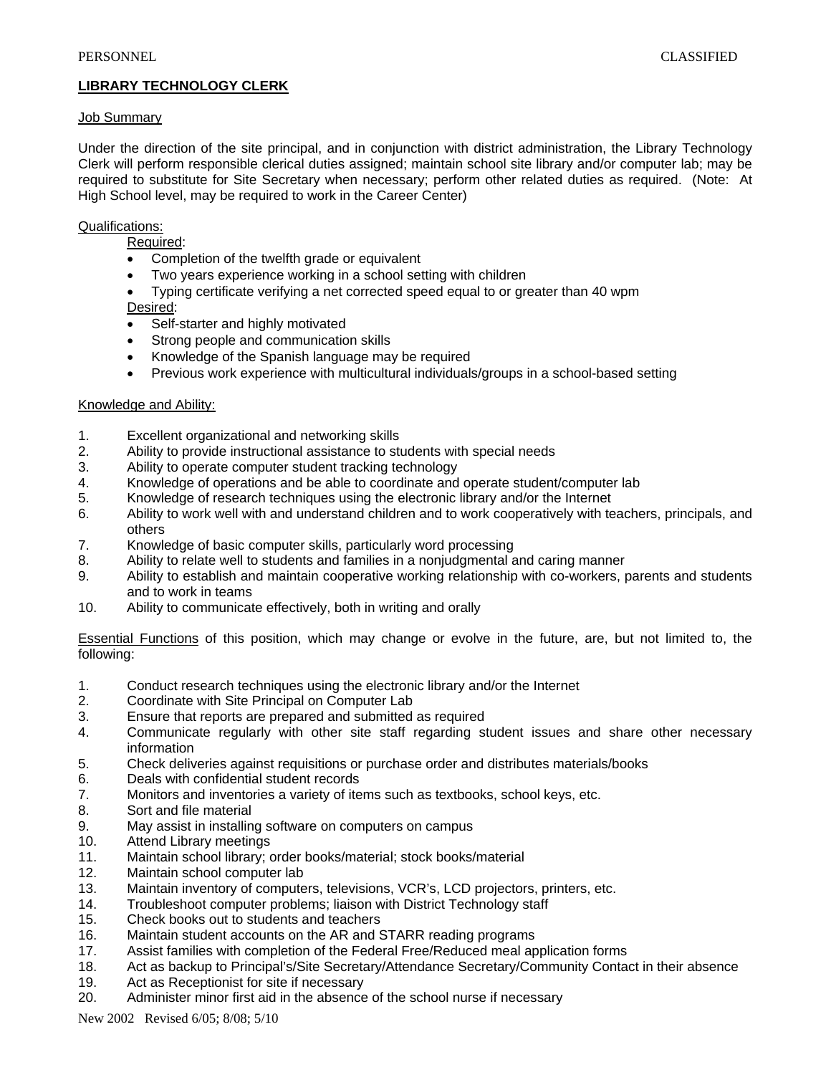## **LIBRARY TECHNOLOGY CLERK**

## Job Summary

Under the direction of the site principal, and in conjunction with district administration, the Library Technology Clerk will perform responsible clerical duties assigned; maintain school site library and/or computer lab; may be required to substitute for Site Secretary when necessary; perform other related duties as required. (Note: At High School level, may be required to work in the Career Center)

## Qualifications:

Required:

- Completion of the twelfth grade or equivalent
- Two years experience working in a school setting with children
- Typing certificate verifying a net corrected speed equal to or greater than 40 wpm
- Desired:
- Self-starter and highly motivated
- Strong people and communication skills
- Knowledge of the Spanish language may be required
- Previous work experience with multicultural individuals/groups in a school-based setting

## Knowledge and Ability:

- 1. Excellent organizational and networking skills
- 2. Ability to provide instructional assistance to students with special needs
- 3. Ability to operate computer student tracking technology
- 4. Knowledge of operations and be able to coordinate and operate student/computer lab
- 5. Knowledge of research techniques using the electronic library and/or the Internet
- 6. Ability to work well with and understand children and to work cooperatively with teachers, principals, and others
- 7. Knowledge of basic computer skills, particularly word processing
- 8. Ability to relate well to students and families in a nonjudgmental and caring manner
- 9. Ability to establish and maintain cooperative working relationship with co-workers, parents and students and to work in teams
- 10. Ability to communicate effectively, both in writing and orally

Essential Functions of this position, which may change or evolve in the future, are, but not limited to, the following:

- 1. Conduct research techniques using the electronic library and/or the Internet
- 2. Coordinate with Site Principal on Computer Lab
- 3. Ensure that reports are prepared and submitted as required
- 4. Communicate regularly with other site staff regarding student issues and share other necessary information
- 5. Check deliveries against requisitions or purchase order and distributes materials/books
- 6. Deals with confidential student records
- 7. Monitors and inventories a variety of items such as textbooks, school keys, etc.
- 8. Sort and file material
- 9. May assist in installing software on computers on campus
- 10. Attend Library meetings
- 11. Maintain school library; order books/material; stock books/material
- 12. Maintain school computer lab
- 13. Maintain inventory of computers, televisions, VCR's, LCD projectors, printers, etc.
- 14. Troubleshoot computer problems; liaison with District Technology staff
- 15. Check books out to students and teachers
- 16. Maintain student accounts on the AR and STARR reading programs
- 17. Assist families with completion of the Federal Free/Reduced meal application forms
- 18. Act as backup to Principal's/Site Secretary/Attendance Secretary/Community Contact in their absence
- 19. Act as Receptionist for site if necessary
- 20. Administer minor first aid in the absence of the school nurse if necessary

New 2002 Revised 6/05; 8/08; 5/10